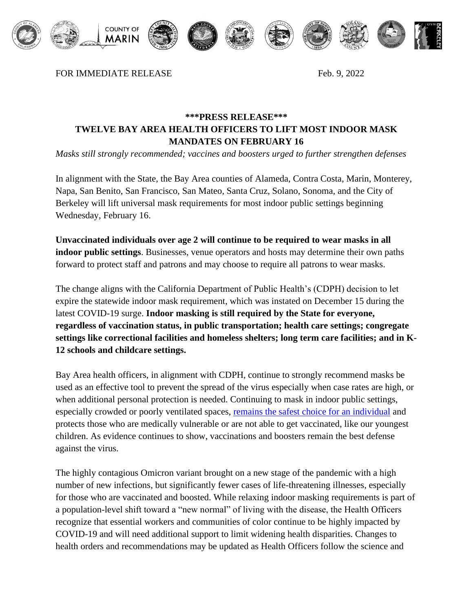

FOR IMMEDIATE RELEASE Feb. 9, 2022

## **\*\*\*PRESS RELEASE\*\*\* TWELVE BAY AREA HEALTH OFFICERS TO LIFT MOST INDOOR MASK MANDATES ON FEBRUARY 16**

*Masks still strongly recommended; vaccines and boosters urged to further strengthen defenses*

In alignment with the State, the Bay Area counties of Alameda, Contra Costa, Marin, Monterey, Napa, San Benito, San Francisco, San Mateo, Santa Cruz, Solano, Sonoma, and the City of Berkeley will lift universal mask requirements for most indoor public settings beginning Wednesday, February 16.

**Unvaccinated individuals over age 2 will continue to be required to wear masks in all indoor public settings**. Businesses, venue operators and hosts may determine their own paths forward to protect staff and patrons and may choose to require all patrons to wear masks.

The change aligns with the California Department of Public Health's (CDPH) decision to let expire the statewide indoor mask requirement, which was instated on December 15 during the latest COVID-19 surge. **Indoor masking is still required by the State for everyone, regardless of vaccination status, in public transportation; health care settings; congregate settings like correctional facilities and homeless shelters; long term care facilities; and in K-12 schools and childcare settings.** 

Bay Area health officers, in alignment with CDPH, continue to strongly recommend masks be used as an effective tool to prevent the spread of the virus especially when case rates are high, or when additional personal protection is needed. Continuing to mask in indoor public settings, especially crowded or poorly ventilated spaces, [remains the safest choice for an individual](https://www.cdc.gov/mmwr/volumes/71/wr/mm7106e1.htm) and protects those who are medically vulnerable or are not able to get vaccinated, like our youngest children. As evidence continues to show, vaccinations and boosters remain the best defense against the virus.

The highly contagious Omicron variant brought on a new stage of the pandemic with a high number of new infections, but significantly fewer cases of life-threatening illnesses, especially for those who are vaccinated and boosted. While relaxing indoor masking requirements is part of a population-level shift toward a "new normal" of living with the disease, the Health Officers recognize that essential workers and communities of color continue to be highly impacted by COVID-19 and will need additional support to limit widening health disparities. Changes to health orders and recommendations may be updated as Health Officers follow the science and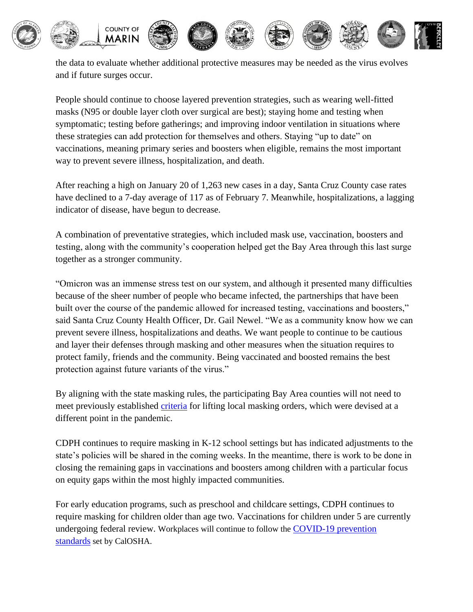

the data to evaluate whether additional protective measures may be needed as the virus evolves and if future surges occur.

People should continue to choose layered prevention strategies, such as wearing well-fitted masks (N95 or double layer cloth over surgical are best); staying home and testing when symptomatic; testing before gatherings; and improving indoor ventilation in situations where these strategies can add protection for themselves and others. Staying "up to date" on vaccinations, meaning primary series and boosters when eligible, remains the most important way to prevent severe illness, hospitalization, and death.

After reaching a high on January 20 of 1,263 new cases in a day, Santa Cruz County case rates have declined to a 7-day average of 117 as of February 7. Meanwhile, hospitalizations, a lagging indicator of disease, have begun to decrease.

A combination of preventative strategies, which included mask use, vaccination, boosters and testing, along with the community's cooperation helped get the Bay Area through this last surge together as a stronger community.

"Omicron was an immense stress test on our system, and although it presented many difficulties because of the sheer number of people who became infected, the partnerships that have been built over the course of the pandemic allowed for increased testing, vaccinations and boosters," said Santa Cruz County Health Officer, Dr. Gail Newel. "We as a community know how we can prevent severe illness, hospitalizations and deaths. We want people to continue to be cautious and layer their defenses through masking and other measures when the situation requires to protect family, friends and the community. Being vaccinated and boosted remains the best protection against future variants of the virus."

By aligning with the state masking rules, the participating Bay Area counties will not need to meet previously established [criteria](https://cchealth.org/press-releases/2021/1007-Criteria-for-Lifting-COVID-19-Indoor-Masking-Requirements.php) for lifting local masking orders, which were devised at a different point in the pandemic.

CDPH continues to require masking in K-12 school settings but has indicated adjustments to the state's policies will be shared in the coming weeks. In the meantime, there is work to be done in closing the remaining gaps in vaccinations and boosters among children with a particular focus on equity gaps within the most highly impacted communities.

For early education programs, such as preschool and childcare settings, CDPH continues to require masking for children older than age two. Vaccinations for children under 5 are currently undergoing federal review. Workplaces will continue to follow the [COVID-19](https://urldefense.com/v3/__https:/www.dir.ca.gov/dosh/coronavirus/COVID19FAQs.html__;!!AvL6XA!g-5SQZg_gVEzKLDqdNTxHCgEGTtxVmodwbBB-OZVjF7Gkg2M6dbbgofZNKBb-t1pHCzrjTSC8Q$) prevention [standards](https://urldefense.com/v3/__https:/www.dir.ca.gov/dosh/coronavirus/COVID19FAQs.html__;!!AvL6XA!g-5SQZg_gVEzKLDqdNTxHCgEGTtxVmodwbBB-OZVjF7Gkg2M6dbbgofZNKBb-t1pHCzrjTSC8Q$) set by CalOSHA.